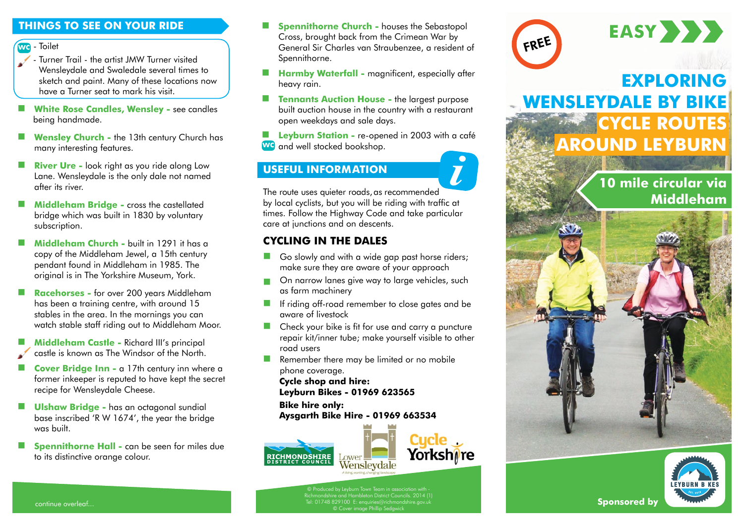### **WC** Toilet

- Turner Trail the artist JMW Turner visited Wensleydale and Swaledale several times to sketch and paint. Many of these locations now have a Turner seat to mark his visit.
- **White Rose Candles, Wensley see candles** being handmade.
- **Wensley Church -** the 13th century Church has many interesting features.
- **River Ure -** look right as you ride along Low Lane. Wensleydale is the only dale not named after its river.
- **Middleham Bridge -** cross the castellated bridge which was built in 1830 by voluntary subscription.
- **Middleham Church -** built in 1291 it has a copy of the Middleham Jewel, a 15th century pendant found in Middleham in 1985. The original is in The Yorkshire Museum, York.
- **Racehorses -** for over 200 years Middleham has been a training centre, with around 15 stables in the area. In the mornings you can watch stable staff riding out to Middleham Moor.
- **Middleham Castle -** Richard III's principal castle is known as The Windsor of the North.
- **Cover Bridge Inn -** a 17th century inn where a former inkeeper is reputed to have kept the secret recipe for Wensleydale Cheese.
- **Ulshaw Bridge -** has an octagonal sundial base inscribed 'R W 1674', the year the bridge was built.
- **Spennithorne Hall -** can be seen for miles due to its distinctive orange colour.
- onder the Transfer Cross, brought back from the Crimean war by the Cross of the Cross, brought back from the Crimean war by the Cross of the Cross, brought back from the Crimean war by the Cross of the Cross, brought back **Spennithorne Church -** houses the Sebastopol **THINGS TO SEE ON YOUR RIDE EXECUTE:** Spennithorne Church - houses the Sebastopol Cross, brought back from the Crimean War by **EASY** Spennithorne.
	- **Harmby Waterfall magnificent, especially after** heavy rain.
	- **Tennants Auction House -** the largest purpose built auction house in the country with a restaurant open weekdays and sale days.

**Leyburn Station -** re-opened in 2003 with a café **WC** and well stocked bookshop.

## **USEFUL INFORMATION**



The route uses quieter roads, as recommended by local cyclists, but you will be riding with traffic at times. Follow the Highway Code and take particular care at junctions and on descents.

## **CYCLING IN THE DALES**

- Go slowly and with a wide gap past horse riders; make sure they are aware of your approach
- On narrow lanes give way to large vehicles, such as farm machinery
- If riding off-road remember to close gates and be aware of livestock
- **Check your bike is fit for use and carry a puncture** repair kit/inner tube; make yourself visible to other road users
- Remember there may be limited or no mobile phone coverage.

**Cycle shop and hire: Leyburn Bikes - 01969 623565** 

**Bike hire only: Aysgarth Bi[ke Hire - 01969](http://www.lower-wensleydale.com/) 663534** 





continue overleaf... **Sponsored by**  Tel: 01748 829100 E: enquiries@richmondshire.gov.uk © Cover image Phillip Sedgwick © Produced by Leyburn Town Team in association with - Richmondshire and Hambleton District Councils. 2014 (1)



# **EXPLORING WENSLEYDALE BY BIKE CYCLE ROUTES AROUND LEYBURN**

## **10 mile circular via Middleham**